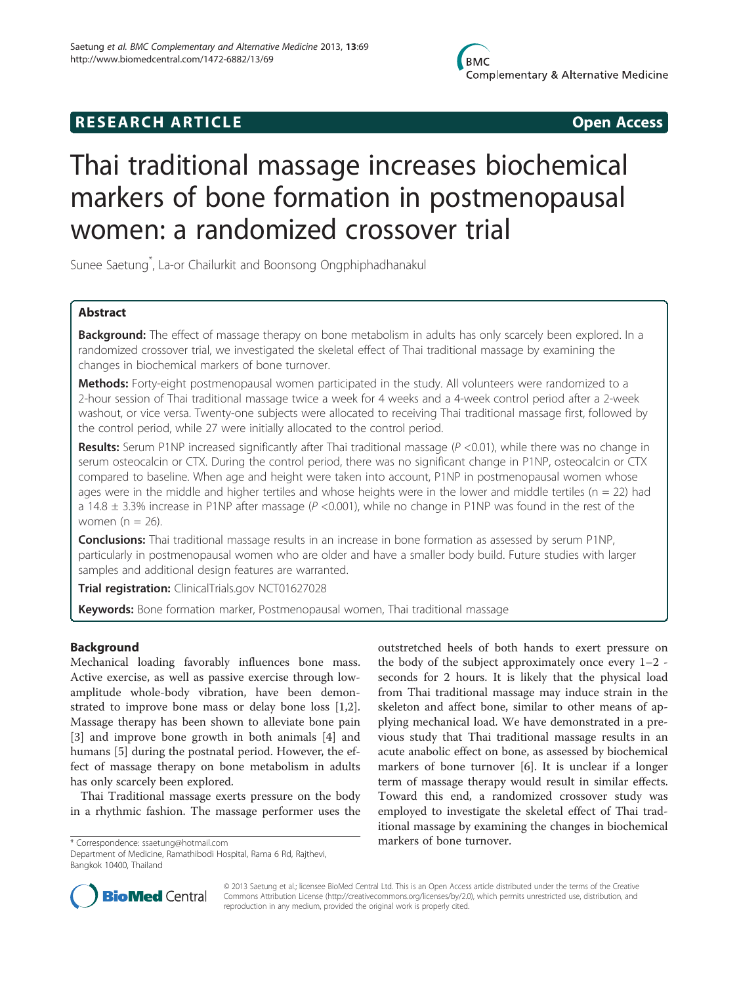# **RESEARCH ARTICLE CONSUMING A RESEARCH ARTICLE**

# Thai traditional massage increases biochemical markers of bone formation in postmenopausal women: a randomized crossover trial

Sunee Saetung\* , La-or Chailurkit and Boonsong Ongphiphadhanakul

# Abstract

Background: The effect of massage therapy on bone metabolism in adults has only scarcely been explored. In a randomized crossover trial, we investigated the skeletal effect of Thai traditional massage by examining the changes in biochemical markers of bone turnover.

Methods: Forty-eight postmenopausal women participated in the study. All volunteers were randomized to a 2-hour session of Thai traditional massage twice a week for 4 weeks and a 4-week control period after a 2-week washout, or vice versa. Twenty-one subjects were allocated to receiving Thai traditional massage first, followed by the control period, while 27 were initially allocated to the control period.

Results: Serum P1NP increased significantly after Thai traditional massage ( $P < 0.01$ ), while there was no change in serum osteocalcin or CTX. During the control period, there was no significant change in P1NP, osteocalcin or CTX compared to baseline. When age and height were taken into account, P1NP in postmenopausal women whose ages were in the middle and higher tertiles and whose heights were in the lower and middle tertiles ( $n = 22$ ) had a 14.8  $\pm$  3.3% increase in P1NP after massage (P <0.001), while no change in P1NP was found in the rest of the women  $(n = 26)$ .

**Conclusions:** Thai traditional massage results in an increase in bone formation as assessed by serum P1NP, particularly in postmenopausal women who are older and have a smaller body build. Future studies with larger samples and additional design features are warranted.

Trial registration: ClinicalTrials.gov [NCT01627028](http://clinicaltrials.gov/ct2/show/NCT01627028?term=thai+traditional+massage&rank=2)

Keywords: Bone formation marker, Postmenopausal women, Thai traditional massage

# Background

Mechanical loading favorably influences bone mass. Active exercise, as well as passive exercise through lowamplitude whole-body vibration, have been demonstrated to improve bone mass or delay bone loss [\[1,2](#page-4-0)]. Massage therapy has been shown to alleviate bone pain [[3\]](#page-4-0) and improve bone growth in both animals [[4\]](#page-4-0) and humans [\[5](#page-5-0)] during the postnatal period. However, the effect of massage therapy on bone metabolism in adults has only scarcely been explored.

Thai Traditional massage exerts pressure on the body in a rhythmic fashion. The massage performer uses the

Department of Medicine, Ramathibodi Hospital, Rama 6 Rd, Rajthevi, Bangkok 10400, Thailand

outstretched heels of both hands to exert pressure on the body of the subject approximately once every  $1-2$  seconds for 2 hours. It is likely that the physical load from Thai traditional massage may induce strain in the skeleton and affect bone, similar to other means of applying mechanical load. We have demonstrated in a previous study that Thai traditional massage results in an acute anabolic effect on bone, as assessed by biochemical markers of bone turnover [[6\]](#page-5-0). It is unclear if a longer term of massage therapy would result in similar effects. Toward this end, a randomized crossover study was employed to investigate the skeletal effect of Thai traditional massage by examining the changes in biochemical \* Correspondence: [ssaetung@hotmail.com](mailto:ssaetung@hotmail.com) markers of bone turnover.



© 2013 Saetung et al.; licensee BioMed Central Ltd. This is an Open Access article distributed under the terms of the Creative Commons Attribution License [\(http://creativecommons.org/licenses/by/2.0\)](http://creativecommons.org/licenses/by/2.0), which permits unrestricted use, distribution, and reproduction in any medium, provided the original work is properly cited.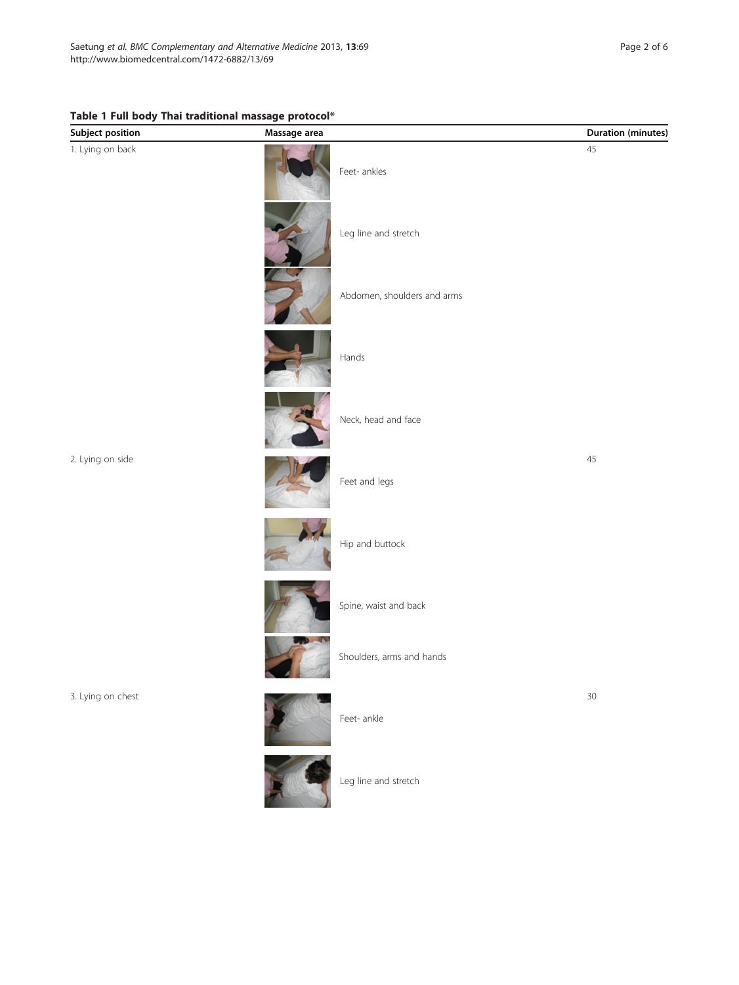# <span id="page-1-0"></span>Table 1 Full body Thai traditional massage protocol\*

| Subject position  | Massage area |                             | Duration (minutes) |
|-------------------|--------------|-----------------------------|--------------------|
| 1. Lying on back  |              | Feet- ankles                | 45                 |
|                   |              | Leg line and stretch        |                    |
|                   |              | Abdomen, shoulders and arms |                    |
|                   |              | Hands                       |                    |
|                   |              | Neck, head and face         |                    |
| 2. Lying on side  |              | Feet and legs               | $45\,$             |
|                   |              | Hip and buttock             |                    |
|                   |              | Spine, waist and back       |                    |
|                   |              | Shoulders, arms and hands   |                    |
| 3. Lying on chest |              | Feet- ankle                 | $30\,$             |
|                   |              | Leg line and stretch        |                    |

X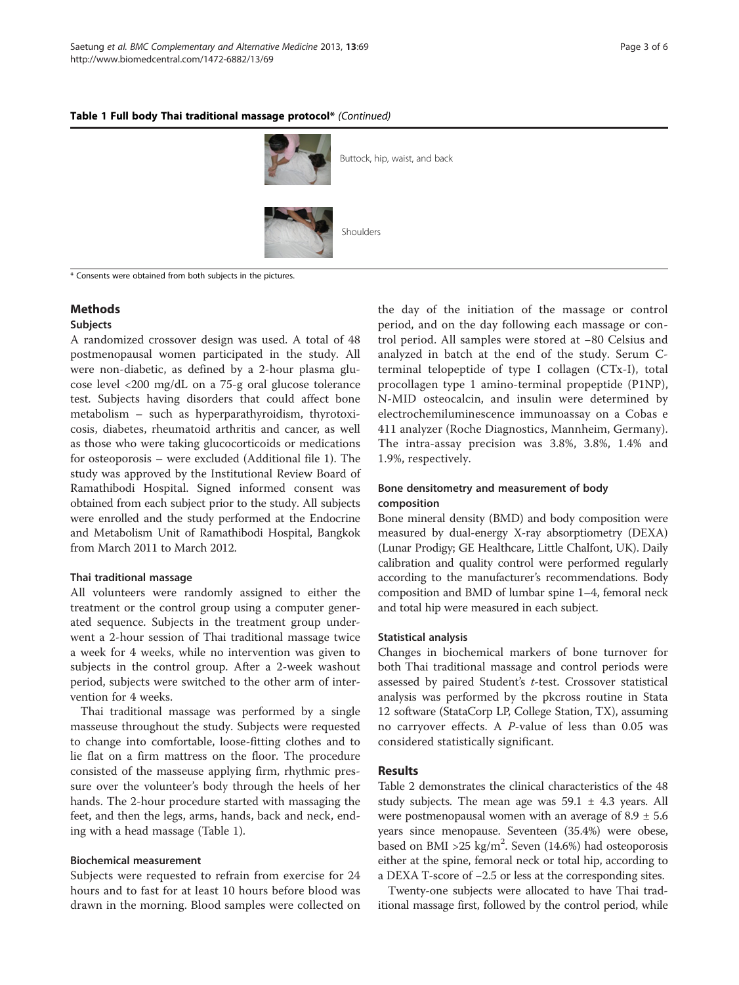#### Table 1 Full body Thai traditional massage protocol\* (Continued)



\* Consents were obtained from both subjects in the pictures.

# Methods

#### Subjects

A randomized crossover design was used. A total of 48 postmenopausal women participated in the study. All were non-diabetic, as defined by a 2-hour plasma glucose level <200 mg/dL on a 75-g oral glucose tolerance test. Subjects having disorders that could affect bone metabolism – such as hyperparathyroidism, thyrotoxicosis, diabetes, rheumatoid arthritis and cancer, as well as those who were taking glucocorticoids or medications for osteoporosis – were excluded (Additional file [1\)](#page-4-0). The study was approved by the Institutional Review Board of Ramathibodi Hospital. Signed informed consent was obtained from each subject prior to the study. All subjects were enrolled and the study performed at the Endocrine and Metabolism Unit of Ramathibodi Hospital, Bangkok from March 2011 to March 2012.

### Thai traditional massage

All volunteers were randomly assigned to either the treatment or the control group using a computer generated sequence. Subjects in the treatment group underwent a 2-hour session of Thai traditional massage twice a week for 4 weeks, while no intervention was given to subjects in the control group. After a 2-week washout period, subjects were switched to the other arm of intervention for 4 weeks.

Thai traditional massage was performed by a single masseuse throughout the study. Subjects were requested to change into comfortable, loose-fitting clothes and to lie flat on a firm mattress on the floor. The procedure consisted of the masseuse applying firm, rhythmic pressure over the volunteer's body through the heels of her hands. The 2-hour procedure started with massaging the feet, and then the legs, arms, hands, back and neck, ending with a head massage (Table [1\)](#page-1-0).

#### Biochemical measurement

Subjects were requested to refrain from exercise for 24 hours and to fast for at least 10 hours before blood was drawn in the morning. Blood samples were collected on the day of the initiation of the massage or control period, and on the day following each massage or control period. All samples were stored at −80 Celsius and analyzed in batch at the end of the study. Serum Cterminal telopeptide of type I collagen (CTx-I), total procollagen type 1 amino-terminal propeptide (P1NP), N-MID osteocalcin, and insulin were determined by electrochemiluminescence immunoassay on a Cobas e 411 analyzer (Roche Diagnostics, Mannheim, Germany). The intra-assay precision was 3.8%, 3.8%, 1.4% and 1.9%, respectively.

# Bone densitometry and measurement of body composition

Bone mineral density (BMD) and body composition were measured by dual-energy X-ray absorptiometry (DEXA) (Lunar Prodigy; GE Healthcare, Little Chalfont, UK). Daily calibration and quality control were performed regularly according to the manufacturer's recommendations. Body composition and BMD of lumbar spine 1–4, femoral neck and total hip were measured in each subject.

#### Statistical analysis

Changes in biochemical markers of bone turnover for both Thai traditional massage and control periods were assessed by paired Student's t-test. Crossover statistical analysis was performed by the pkcross routine in Stata 12 software (StataCorp LP, College Station, TX), assuming no carryover effects. A P-value of less than 0.05 was considered statistically significant.

# Results

Table [2](#page-3-0) demonstrates the clinical characteristics of the 48 study subjects. The mean age was  $59.1 \pm 4.3$  years. All were postmenopausal women with an average of  $8.9 \pm 5.6$ years since menopause. Seventeen (35.4%) were obese, based on BMI > 25 kg/m<sup>2</sup>. Seven (14.6%) had osteoporosis either at the spine, femoral neck or total hip, according to a DEXA T-score of −2.5 or less at the corresponding sites.

Twenty-one subjects were allocated to have Thai traditional massage first, followed by the control period, while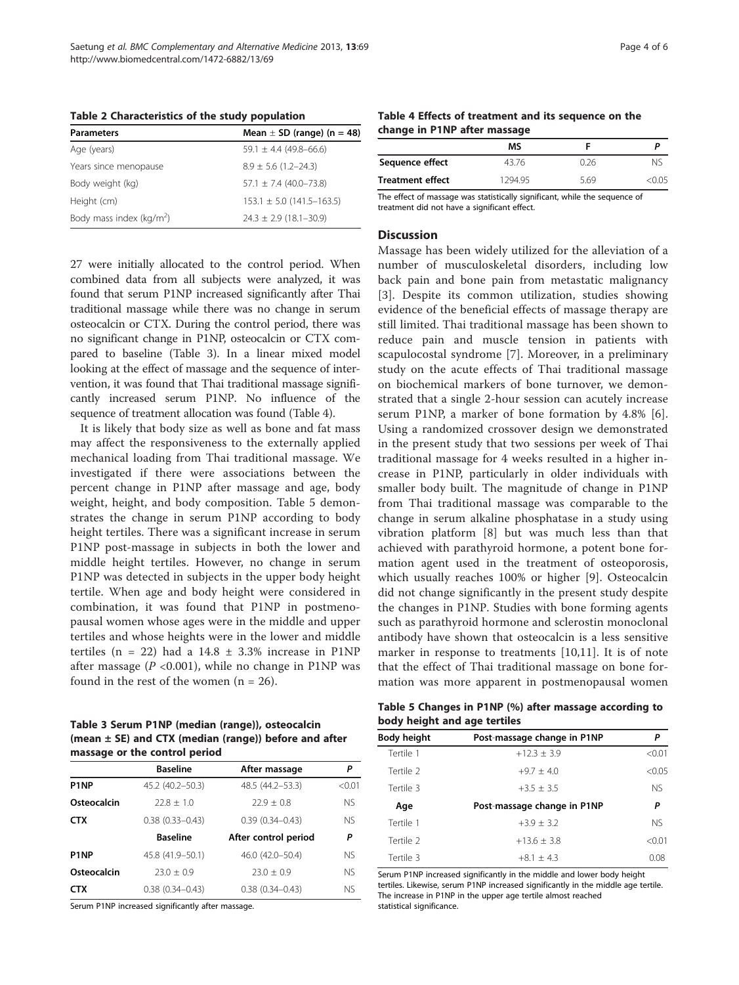<span id="page-3-0"></span>Table 2 Characteristics of the study population

| <b>Parameters</b>           | Mean $\pm$ SD (range) (n = 48) |
|-----------------------------|--------------------------------|
| Age (years)                 | $59.1 \pm 4.4$ (49.8-66.6)     |
| Years since menopause       | $8.9 \pm 5.6$ (1.2-24.3)       |
| Body weight (kg)            | $57.1 \pm 7.4 (40.0 - 73.8)$   |
| Height (cm)                 | $153.1 \pm 5.0$ (141.5-163.5)  |
| Body mass index ( $kg/m2$ ) | $24.3 \pm 2.9$ (18.1-30.9)     |

27 were initially allocated to the control period. When combined data from all subjects were analyzed, it was found that serum P1NP increased significantly after Thai traditional massage while there was no change in serum osteocalcin or CTX. During the control period, there was no significant change in P1NP, osteocalcin or CTX compared to baseline (Table 3). In a linear mixed model looking at the effect of massage and the sequence of intervention, it was found that Thai traditional massage significantly increased serum P1NP. No influence of the sequence of treatment allocation was found (Table 4).

It is likely that body size as well as bone and fat mass may affect the responsiveness to the externally applied mechanical loading from Thai traditional massage. We investigated if there were associations between the percent change in P1NP after massage and age, body weight, height, and body composition. Table 5 demonstrates the change in serum P1NP according to body height tertiles. There was a significant increase in serum P1NP post-massage in subjects in both the lower and middle height tertiles. However, no change in serum P1NP was detected in subjects in the upper body height tertile. When age and body height were considered in combination, it was found that P1NP in postmenopausal women whose ages were in the middle and upper tertiles and whose heights were in the lower and middle tertiles (n = 22) had a  $14.8 \pm 3.3\%$  increase in P1NP after massage ( $P < 0.001$ ), while no change in P1NP was found in the rest of the women  $(n = 26)$ .

| Table 3 Serum P1NP (median (range)), osteocalcin          |
|-----------------------------------------------------------|
| (mean $\pm$ SE) and CTX (median (range)) before and after |
| massage or the control period                             |

|                   | <b>Baseline</b>     | After massage        | Ρ         |
|-------------------|---------------------|----------------------|-----------|
| P <sub>1</sub> NP | 45.2 (40.2-50.3)    | 48.5 (44.2-53.3)     | < 0.01    |
| Osteocalcin       | $72.8 + 1.0$        | $22.9 + 0.8$         | <b>NS</b> |
| <b>CTX</b>        | $0.38(0.33 - 0.43)$ | $0.39(0.34 - 0.43)$  | <b>NS</b> |
|                   | <b>Baseline</b>     | After control period | Ρ         |
| P <sub>1</sub> NP | 45.8 (41.9-50.1)    | 46.0 (42.0-50.4)     | <b>NS</b> |
| Osteocalcin       | $23.0 + 0.9$        | $23.0 + 0.9$         | <b>NS</b> |
| <b>CTX</b>        | $0.38(0.34 - 0.43)$ | $0.38(0.34 - 0.43)$  | <b>NS</b> |
|                   |                     |                      |           |

Serum P1NP increased significantly after massage.

Table 4 Effects of treatment and its sequence on the change in P1NP after massage

| МS      |      |        |
|---------|------|--------|
| 43.76   | 0.26 | Nς     |
| 1294.95 | 5.69 | < 0.05 |
|         |      |        |

The effect of massage was statistically significant, while the sequence of treatment did not have a significant effect.

### **Discussion**

Massage has been widely utilized for the alleviation of a number of musculoskeletal disorders, including low back pain and bone pain from metastatic malignancy [[3\]](#page-4-0). Despite its common utilization, studies showing evidence of the beneficial effects of massage therapy are still limited. Thai traditional massage has been shown to reduce pain and muscle tension in patients with scapulocostal syndrome [\[7](#page-5-0)]. Moreover, in a preliminary study on the acute effects of Thai traditional massage on biochemical markers of bone turnover, we demonstrated that a single 2-hour session can acutely increase serum P1NP, a marker of bone formation by 4.8% [\[6](#page-5-0)]. Using a randomized crossover design we demonstrated in the present study that two sessions per week of Thai traditional massage for 4 weeks resulted in a higher increase in P1NP, particularly in older individuals with smaller body built. The magnitude of change in P1NP from Thai traditional massage was comparable to the change in serum alkaline phosphatase in a study using vibration platform [[8\]](#page-5-0) but was much less than that achieved with parathyroid hormone, a potent bone formation agent used in the treatment of osteoporosis, which usually reaches 100% or higher [\[9](#page-5-0)]. Osteocalcin did not change significantly in the present study despite the changes in P1NP. Studies with bone forming agents such as parathyroid hormone and sclerostin monoclonal antibody have shown that osteocalcin is a less sensitive marker in response to treatments [\[10](#page-5-0),[11\]](#page-5-0). It is of note that the effect of Thai traditional massage on bone formation was more apparent in postmenopausal women

| Table 5 Changes in P1NP (%) after massage according to |  |
|--------------------------------------------------------|--|
| body height and age tertiles                           |  |

| <b>Body height</b> | Post-massage change in P1NP | Ρ         |
|--------------------|-----------------------------|-----------|
| Tertile 1          | $+12.3 + 3.9$               | < 0.01    |
| Tertile 2          | $+9.7 + 4.0$                | < 0.05    |
| Tertile 3          | $+3.5 + 3.5$                | <b>NS</b> |
| Age                | Post-massage change in P1NP | Ρ         |
| Tertile 1          | $+3.9 + 3.2$                | <b>NS</b> |
| Tertile 2          | $+13.6 + 3.8$               | < 0.01    |
| Tertile 3          | $+81 + 43$                  | 0.08      |

Serum P1NP increased significantly in the middle and lower body height tertiles. Likewise, serum P1NP increased significantly in the middle age tertile. The increase in P1NP in the upper age tertile almost reached statistical significance.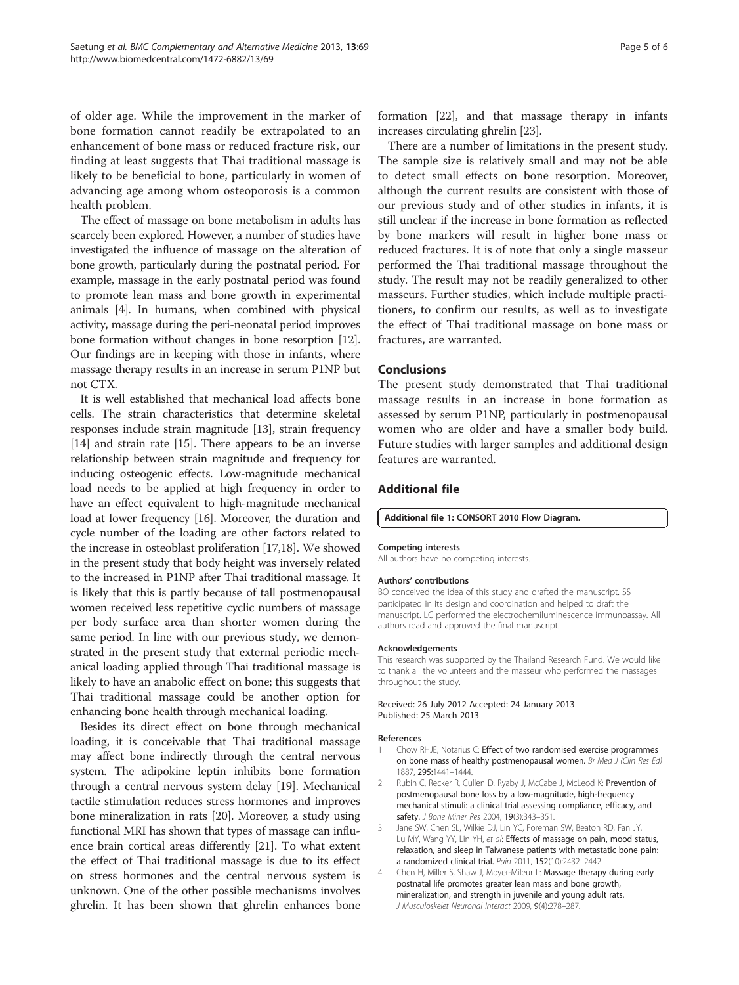<span id="page-4-0"></span>of older age. While the improvement in the marker of bone formation cannot readily be extrapolated to an enhancement of bone mass or reduced fracture risk, our finding at least suggests that Thai traditional massage is likely to be beneficial to bone, particularly in women of advancing age among whom osteoporosis is a common health problem.

The effect of massage on bone metabolism in adults has scarcely been explored. However, a number of studies have investigated the influence of massage on the alteration of bone growth, particularly during the postnatal period. For example, massage in the early postnatal period was found to promote lean mass and bone growth in experimental animals [4]. In humans, when combined with physical activity, massage during the peri-neonatal period improves bone formation without changes in bone resorption [[12](#page-5-0)]. Our findings are in keeping with those in infants, where massage therapy results in an increase in serum P1NP but not CTX.

It is well established that mechanical load affects bone cells. The strain characteristics that determine skeletal responses include strain magnitude [[13\]](#page-5-0), strain frequency [[14](#page-5-0)] and strain rate [\[15](#page-5-0)]. There appears to be an inverse relationship between strain magnitude and frequency for inducing osteogenic effects. Low-magnitude mechanical load needs to be applied at high frequency in order to have an effect equivalent to high-magnitude mechanical load at lower frequency [[16](#page-5-0)]. Moreover, the duration and cycle number of the loading are other factors related to the increase in osteoblast proliferation [[17,18\]](#page-5-0). We showed in the present study that body height was inversely related to the increased in P1NP after Thai traditional massage. It is likely that this is partly because of tall postmenopausal women received less repetitive cyclic numbers of massage per body surface area than shorter women during the same period. In line with our previous study, we demonstrated in the present study that external periodic mechanical loading applied through Thai traditional massage is likely to have an anabolic effect on bone; this suggests that Thai traditional massage could be another option for enhancing bone health through mechanical loading.

Besides its direct effect on bone through mechanical loading, it is conceivable that Thai traditional massage may affect bone indirectly through the central nervous system. The adipokine leptin inhibits bone formation through a central nervous system delay [[19](#page-5-0)]. Mechanical tactile stimulation reduces stress hormones and improves bone mineralization in rats [[20](#page-5-0)]. Moreover, a study using functional MRI has shown that types of massage can influence brain cortical areas differently [\[21](#page-5-0)]. To what extent the effect of Thai traditional massage is due to its effect on stress hormones and the central nervous system is unknown. One of the other possible mechanisms involves ghrelin. It has been shown that ghrelin enhances bone

formation [\[22\]](#page-5-0), and that massage therapy in infants increases circulating ghrelin [\[23\]](#page-5-0).

There are a number of limitations in the present study. The sample size is relatively small and may not be able to detect small effects on bone resorption. Moreover, although the current results are consistent with those of our previous study and of other studies in infants, it is still unclear if the increase in bone formation as reflected by bone markers will result in higher bone mass or reduced fractures. It is of note that only a single masseur performed the Thai traditional massage throughout the study. The result may not be readily generalized to other masseurs. Further studies, which include multiple practitioners, to confirm our results, as well as to investigate the effect of Thai traditional massage on bone mass or fractures, are warranted.

# Conclusions

The present study demonstrated that Thai traditional massage results in an increase in bone formation as assessed by serum P1NP, particularly in postmenopausal women who are older and have a smaller body build. Future studies with larger samples and additional design features are warranted.

# Additional file

[Additional file 1:](http://www.biomedcentral.com/content/supplementary/1472-6882-13-69-S1.doc) CONSORT 2010 Flow Diagram.

#### Competing interests

All authors have no competing interests.

#### Authors' contributions

BO conceived the idea of this study and drafted the manuscript. SS participated in its design and coordination and helped to draft the manuscript. LC performed the electrochemiluminescence immunoassay. All authors read and approved the final manuscript.

#### Acknowledgements

This research was supported by the Thailand Research Fund. We would like to thank all the volunteers and the masseur who performed the massages throughout the study.

Received: 26 July 2012 Accepted: 24 January 2013 Published: 25 March 2013

#### References

- 1. Chow RHJE, Notarius C: Effect of two randomised exercise programmes on bone mass of healthy postmenopausal women. Br Med J (Clin Res Ed) 1887, 295:1441–1444.
- 2. Rubin C, Recker R, Cullen D, Ryaby J, McCabe J, McLeod K: Prevention of postmenopausal bone loss by a low-magnitude, high-frequency mechanical stimuli: a clinical trial assessing compliance, efficacy, and safety. J Bone Miner Res 2004, 19(3):343–351.
- 3. Jane SW, Chen SL, Wilkie DJ, Lin YC, Foreman SW, Beaton RD, Fan JY, Lu MY, Wang YY, Lin YH, et al: Effects of massage on pain, mood status, relaxation, and sleep in Taiwanese patients with metastatic bone pain: a randomized clinical trial. Pain 2011, 152(10):2432–2442.
- 4. Chen H, Miller S, Shaw J, Moyer-Mileur L: Massage therapy during early postnatal life promotes greater lean mass and bone growth, mineralization, and strength in juvenile and young adult rats. J Musculoskelet Neuronal Interact 2009, 9(4):278–287.